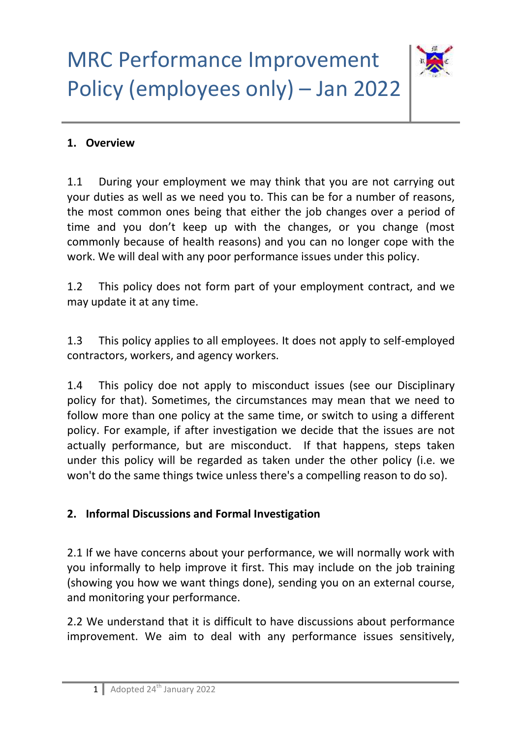

#### **1. Overview**

1.1 During your employment we may think that you are not carrying out your duties as well as we need you to. This can be for a number of reasons, the most common ones being that either the job changes over a period of time and you don't keep up with the changes, or you change (most commonly because of health reasons) and you can no longer cope with the work. We will deal with any poor performance issues under this policy.

1.2 This policy does not form part of your employment contract, and we may update it at any time.

1.3 This policy applies to all employees. It does not apply to self-employed contractors, workers, and agency workers.

1.4 This policy doe not apply to misconduct issues (see our Disciplinary policy for that). Sometimes, the circumstances may mean that we need to follow more than one policy at the same time, or switch to using a different policy. For example, if after investigation we decide that the issues are not actually performance, but are misconduct. If that happens, steps taken under this policy will be regarded as taken under the other policy (i.e. we won't do the same things twice unless there's a compelling reason to do so).

#### **2. Informal Discussions and Formal Investigation**

2.1 If we have concerns about your performance, we will normally work with you informally to help improve it first. This may include on the job training (showing you how we want things done), sending you on an external course, and monitoring your performance.

2.2 We understand that it is difficult to have discussions about performance improvement. We aim to deal with any performance issues sensitively,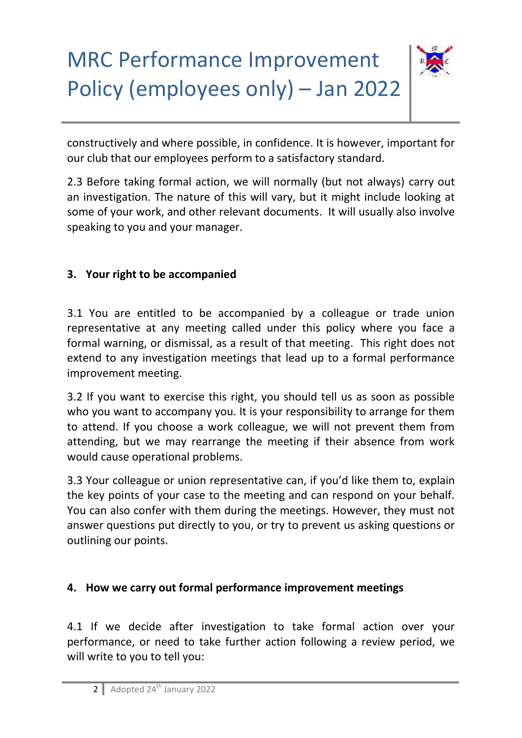

constructively and where possible, in confidence. It is however, important for our club that our employees perform to a satisfactory standard.

2.3 Before taking formal action, we will normally (but not always) carry out an investigation. The nature of this will vary, but it might include looking at some of your work, and other relevant documents. It will usually also involve speaking to you and your manager.

### **3. Your right to be accompanied**

3.1 You are entitled to be accompanied by a colleague or trade union representative at any meeting called under this policy where you face a formal warning, or dismissal, as a result of that meeting. This right does not extend to any investigation meetings that lead up to a formal performance improvement meeting.

3.2 If you want to exercise this right, you should tell us as soon as possible who you want to accompany you. It is your responsibility to arrange for them to attend. If you choose a work colleague, we will not prevent them from attending, but we may rearrange the meeting if their absence from work would cause operational problems.

3.3 Your colleague or union representative can, if you'd like them to, explain the key points of your case to the meeting and can respond on your behalf. You can also confer with them during the meetings. However, they must not answer questions put directly to you, or try to prevent us asking questions or outlining our points.

### **4. How we carry out formal performance improvement meetings**

4.1 If we decide after investigation to take formal action over your performance, or need to take further action following a review period, we will write to you to tell you: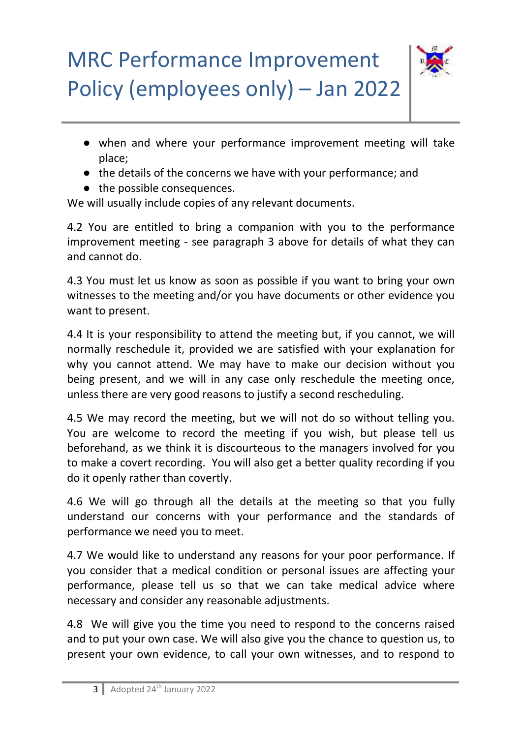

- when and where your performance improvement meeting will take place;
- the details of the concerns we have with your performance; and
- the possible consequences.

We will usually include copies of any relevant documents.

4.2 You are entitled to bring a companion with you to the performance improvement meeting - see paragraph 3 above for details of what they can and cannot do.

4.3 You must let us know as soon as possible if you want to bring your own witnesses to the meeting and/or you have documents or other evidence you want to present.

4.4 It is your responsibility to attend the meeting but, if you cannot, we will normally reschedule it, provided we are satisfied with your explanation for why you cannot attend. We may have to make our decision without you being present, and we will in any case only reschedule the meeting once, unless there are very good reasons to justify a second rescheduling.

4.5 We may record the meeting, but we will not do so without telling you. You are welcome to record the meeting if you wish, but please tell us beforehand, as we think it is discourteous to the managers involved for you to make a covert recording. You will also get a better quality recording if you do it openly rather than covertly.

4.6 We will go through all the details at the meeting so that you fully understand our concerns with your performance and the standards of performance we need you to meet.

4.7 We would like to understand any reasons for your poor performance. If you consider that a medical condition or personal issues are affecting your performance, please tell us so that we can take medical advice where necessary and consider any reasonable adjustments.

4.8 We will give you the time you need to respond to the concerns raised and to put your own case. We will also give you the chance to question us, to present your own evidence, to call your own witnesses, and to respond to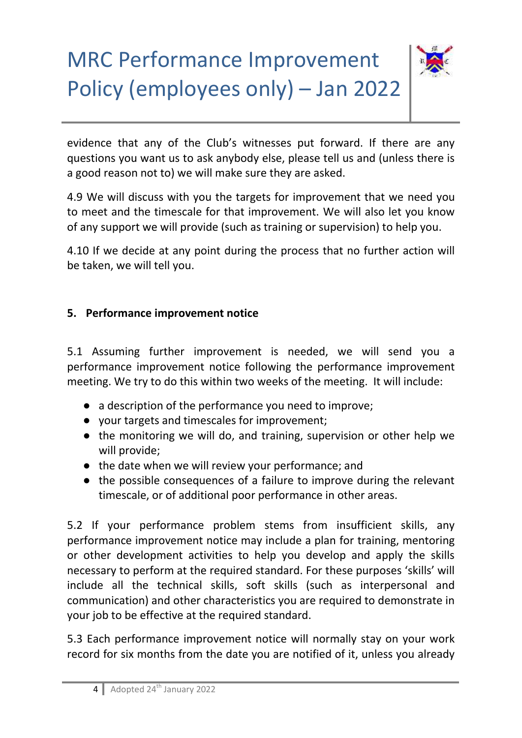

evidence that any of the Club's witnesses put forward. If there are any questions you want us to ask anybody else, please tell us and (unless there is a good reason not to) we will make sure they are asked.

4.9 We will discuss with you the targets for improvement that we need you to meet and the timescale for that improvement. We will also let you know of any support we will provide (such as training or supervision) to help you.

4.10 If we decide at any point during the process that no further action will be taken, we will tell you.

### **5. Performance improvement notice**

5.1 Assuming further improvement is needed, we will send you a performance improvement notice following the performance improvement meeting. We try to do this within two weeks of the meeting. It will include:

- a description of the performance you need to improve;
- your targets and timescales for improvement;
- the monitoring we will do, and training, supervision or other help we will provide;
- the date when we will review your performance; and
- the possible consequences of a failure to improve during the relevant timescale, or of additional poor performance in other areas.

5.2 If your performance problem stems from insufficient skills, any performance improvement notice may include a plan for training, mentoring or other development activities to help you develop and apply the skills necessary to perform at the required standard. For these purposes 'skills' will include all the technical skills, soft skills (such as interpersonal and communication) and other characteristics you are required to demonstrate in your job to be effective at the required standard.

5.3 Each performance improvement notice will normally stay on your work record for six months from the date you are notified of it, unless you already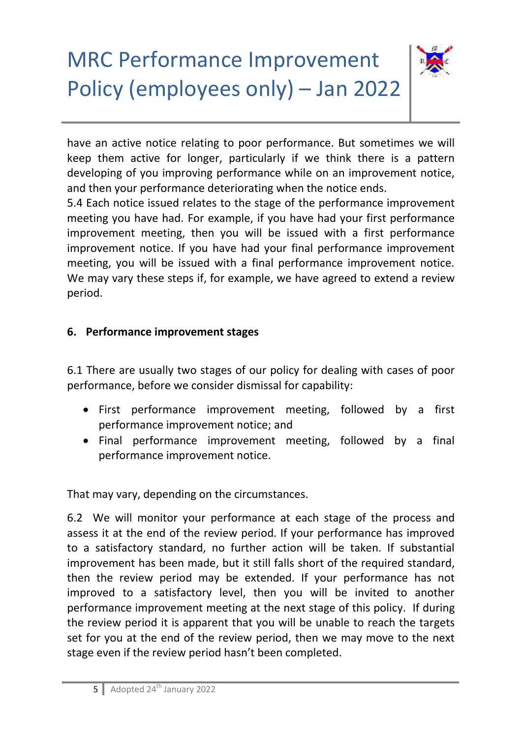

have an active notice relating to poor performance. But sometimes we will keep them active for longer, particularly if we think there is a pattern developing of you improving performance while on an improvement notice, and then your performance deteriorating when the notice ends.

5.4 Each notice issued relates to the stage of the performance improvement meeting you have had. For example, if you have had your first performance improvement meeting, then you will be issued with a first performance improvement notice. If you have had your final performance improvement meeting, you will be issued with a final performance improvement notice. We may vary these steps if, for example, we have agreed to extend a review period.

### **6. Performance improvement stages**

6.1 There are usually two stages of our policy for dealing with cases of poor performance, before we consider dismissal for capability:

- First performance improvement meeting, followed by a first performance improvement notice; and
- Final performance improvement meeting, followed by a final performance improvement notice.

That may vary, depending on the circumstances.

6.2 We will monitor your performance at each stage of the process and assess it at the end of the review period. If your performance has improved to a satisfactory standard, no further action will be taken. If substantial improvement has been made, but it still falls short of the required standard, then the review period may be extended. If your performance has not improved to a satisfactory level, then you will be invited to another performance improvement meeting at the next stage of this policy. If during the review period it is apparent that you will be unable to reach the targets set for you at the end of the review period, then we may move to the next stage even if the review period hasn't been completed.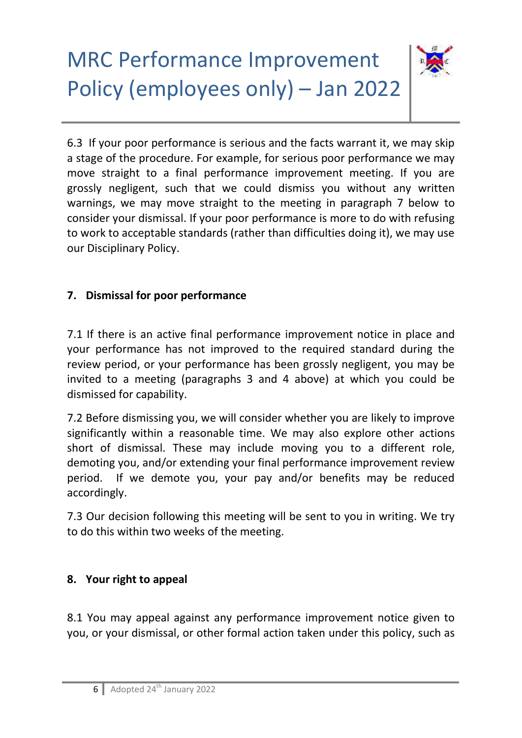

6.3 If your poor performance is serious and the facts warrant it, we may skip a stage of the procedure. For example, for serious poor performance we may move straight to a final performance improvement meeting. If you are grossly negligent, such that we could dismiss you without any written warnings, we may move straight to the meeting in paragraph 7 below to consider your dismissal. If your poor performance is more to do with refusing to work to acceptable standards (rather than difficulties doing it), we may use our Disciplinary Policy.

## **7. Dismissal for poor performance**

7.1 If there is an active final performance improvement notice in place and your performance has not improved to the required standard during the review period, or your performance has been grossly negligent, you may be invited to a meeting (paragraphs 3 and 4 above) at which you could be dismissed for capability.

7.2 Before dismissing you, we will consider whether you are likely to improve significantly within a reasonable time. We may also explore other actions short of dismissal. These may include moving you to a different role, demoting you, and/or extending your final performance improvement review period. If we demote you, your pay and/or benefits may be reduced accordingly.

7.3 Our decision following this meeting will be sent to you in writing. We try to do this within two weeks of the meeting.

### **8. Your right to appeal**

8.1 You may appeal against any performance improvement notice given to you, or your dismissal, or other formal action taken under this policy, such as